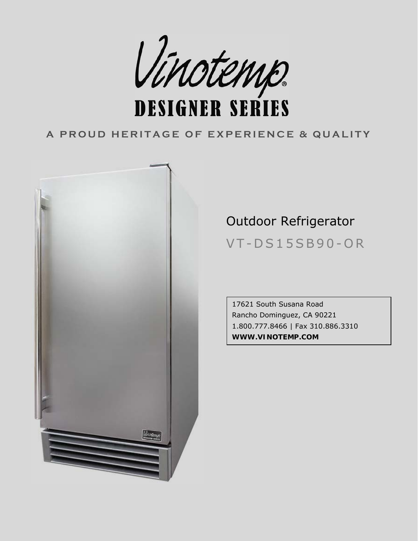

### **A PROUD HERITAGE OF EXPERIENCE & QUALITY**



# Outdoor Refrigerator

VT-DS15SB90-OR

17621 South Susana Road Rancho Dominguez, CA 90221 3310 1.800.777.8466 | Fax 310.886. **WWW.VINOTEMP.COM**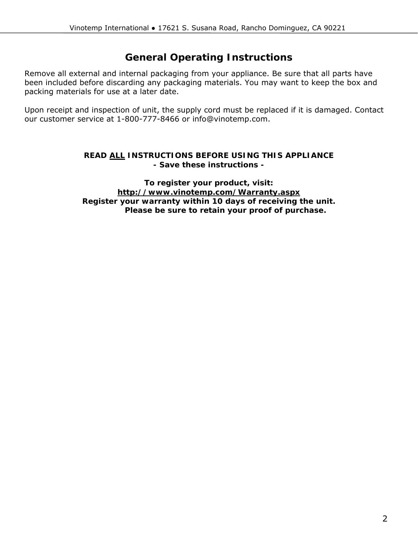### **General Operating Instructions**

Remove all external and internal packaging from your appliance. Be sure that all parts have been included before discarding any packaging materials. You may want to keep the box and packing materials for use at a later date.

Upon receipt and inspection of unit, the supply cord must be replaced if it is damaged. Contact our customer service at 1-800-777-8466 or info@vinotemp.com.

#### **READ ALL INSTRUCTIONS BEFORE USING THIS APPLIANCE - Save these instructions -**

**To : register your product, visit http://www.vinotemp.com/Warranty.aspx** Register your warranty within 10 days of receiving the unit. Please be sure to retain your proof of purchase.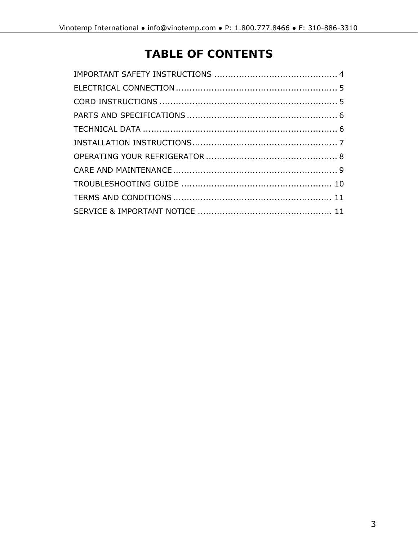## **TABLE OF CONTENTS**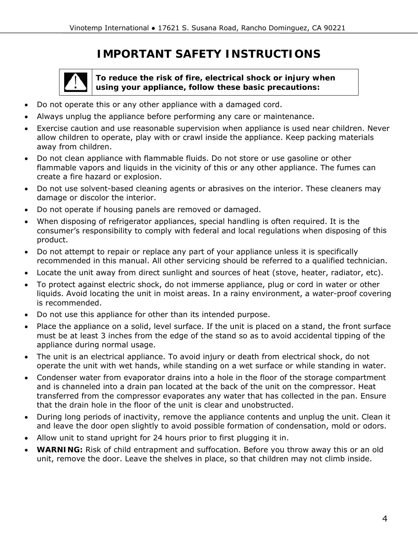### **IMPORTANT SAFETY INSTRUCTIONS**

<span id="page-3-0"></span>

**To reduce the risk of fire, electrical shock or injury when using your appliance, follow these basic precautions:** 

- Do not opera te this or any other appliance with a damaged cord.
- Always unplug the appliance before performing any care or maintenance.
- Exercise caution and use reasonable supervision when appliance is used near children. Never allow children to operate, play with or crawl inside the appliance. Keep packing materials away from children.
- Do not clean appliance with flammable fluids. Do not store or use gasoline or other flammable vapors and liquids in the vicinity of this or any other appliance. The fumes can create a fire hazard or explosion.
- Do not use solvent-based cleaning agents or abrasives on the interior. These cleaners may damage or discolor the interior.
- Do not operate if housing panels are removed or damaged.
- When disposing of refrigerator appliances, special handling is often required. It is the consumer's responsibility to comply with federal and local regulations when disposing of this product.
- Do not attempt to repair or replace any part of your appliance unless it is specifically recommended in this manual. All other servicing should be referred to a qualified technician.
- Locate the unit away from direct sunlight and sources of heat (stove, heater, radiator, etc).
- liquids. Avoid locating the unit in moist areas. In a rainy environment, a water-proof covering • To protect against electric shock, do not immerse appliance, plug or cord in water or other is recommended.
- Do not use this appliance for other than its intended purpose.
- Place the appliance on a solid, level surface. If the unit is placed on a stand, the front surface must be at least 3 inches from the edge of the stand so as to avoid accidental tipping of the appliance during normal usage.
- The unit is an electrical appliance. To avoid injury or death from electrical shock, do not operate the unit with wet hands, while standing on a wet surface or while standing in water.
- Condenser water from evaporator drains into a hole in the floor of the storage compartment and is channeled into a drain pan located at the back of the unit on the compressor. Heat transferred from the compressor evaporates any water that has collected in the pan. Ensure that the drain hole in the floor of the unit is clear and unobstructed.
- During long periods of inactivity, remove the appliance contents and unplug the unit. Clean it and leave the door open slightly to avoid possible formation of condensation, mold or odors.
- Allow unit to stand upright for 24 hours prior to first plugging it in.
- WARNING: Risk of child entrapment and suffocation. Before you throw away this or an old unit, remove the door. Leave the shelves in place, so that children may not climb inside.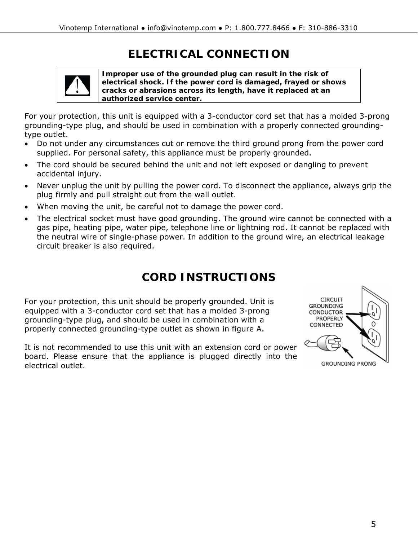## **ELECTRICAL CONNECTION**

<span id="page-4-0"></span>

**Improper use of the grounded plug can result in the risk of electrical shock. If the power cord is damaged, frayed or shows cracks or abrasions across its length, have it replaced at an authorized service center.** 

For your protection, this unit is equipped with a 3-conductor cord set that has a molded 3-prong grounding-type plug, and should be used in combination with a properly connected groundingtype outlet.

- Do not under any circumstances cut or remove the third ground prong from the power cord supplied. For personal safety, this appliance must be properly grounded.
- The cord should be secured behind the unit and not left exposed or dangling to prevent accidental injury.
- Never unplug the unit by pulling the power cord. To disconnect the appliance, always grip the plug firmly and pull straight out from the wall outlet.
- When moving the unit, be careful not to damage the power cord.
- The electrical socket must have good grounding. The ground wire cannot be connected with a gas pipe, heating pipe, water pipe, telephone line or lightning rod. It cannot be replaced with the neutral wire of single-phase power. In addition to the ground wire, an electrical leakage circuit breaker is also required.

### **CORD INSTRUCTIONS**

For your protection, this unit should be properly grounded. Unit is equipped with a 3-conductor cord set that has a molded 3-prong grounding-type plug, and should be used in combination with a properly connected grounding-type outlet as shown in figure A.

It is not recommended to use this unit with an extension cord or power board. Please ensure that the appliance is plugged directly into the electrical outlet.

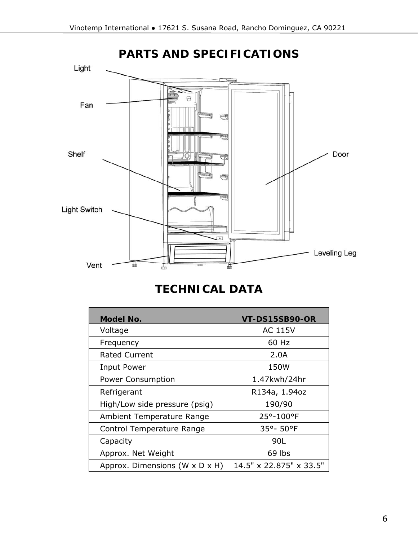<span id="page-5-0"></span>

### **TECHNICAL DATA**

| Model No.                      | <b>VT-DS15SB90-OR</b>   |
|--------------------------------|-------------------------|
| Voltage                        | AC 115V                 |
| Frequency                      | 60 Hz                   |
| <b>Rated Current</b>           | 2.0A                    |
| Input Power                    | 150W                    |
| <b>Power Consumption</b>       | 1.47kwh/24hr            |
| Refrigerant                    | R134a, 1.94oz           |
| High/Low side pressure (psig)  | 190/90                  |
| Ambient Temperature Range      | 25°-100°F               |
| Control Temperature Range      | 35°-50°F                |
| Capacity                       | 90L                     |
| Approx. Net Weight             | 69 lbs                  |
| Approx. Dimensions (W x D x H) | 14.5" x 22.875" x 33.5" |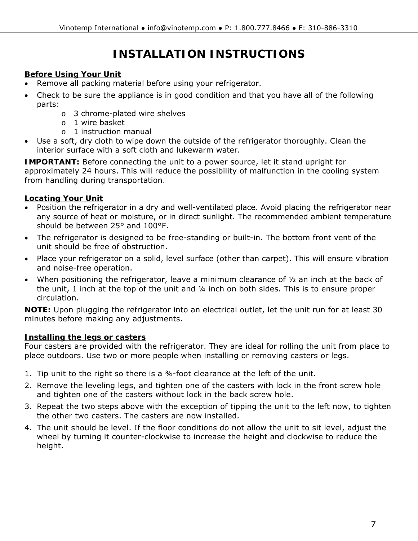## **INSTALLATION INSTRUCTIONS**

#### <span id="page-6-0"></span>**Before Using Your Unit**

- Remove all packing material before using your refrigerator.
- Check to be sure the appliance is in good condition and that you have all of the following parts:
	- o 3 chrome-plated wire shelves
	- o 1 wire basket
	- o 1 instruction manual
- Use a soft, dry cloth to wipe down the outside of the refrigerator thoroughly. Clean the interior surface with a soft cloth and lukewarm water.

**IMPORTANT:** Before connecting the unit to a power source, let it stand upright for approximately 24 hours. This will reduce the possibility of malfunction in the cooling system from handling during transportation.

#### **Locating Your Unit**

- Position the refrigerator in a dry and well-ventilated place. Avoid placing the refrigerator near any source of heat or moisture, or in direct sunlight. The recommended ambient temperature should be between 25° and 100°F.
- The refrigerator is designed to be free-standing or built-in. The bottom front vent of the unit should be free of obstruction.
- Place your refrigerator on a solid, level surface (other than carpet). This will ensure vibration and noise-free operation.
- When positioning the refrigerator, leave a minimum clearance of  $\frac{1}{2}$  an inch at the back of the unit, 1 inch at the top of the unit and ¼ inch on both sides. This is to ensure proper circulation.

**NOTE:** Upon plugging the refrigerator into an electrical outlet, let the unit run for at least 30 minutes before making any adjustments.

#### **Installing the legs or casters**

Four casters are provided with the refrigerator. They are ideal for rolling the unit from place to place outdoors. Use two or more people when installing or removing casters or legs.

- 1. Tip unit to the right so there is a  $\frac{3}{4}$ -foot clearance at the left of the unit.
- 2. Remove the leveling legs, and tighten one of the casters with lock in the front screw hole and tighten one of the casters without lock in the back screw hole.
- 3. Repeat the two steps above with the exception of tipping the unit to the left now, to tighten the other two casters. The casters are now installed.
- 4. The unit should be level. If the floor conditions do not allow the unit to sit level, adjust the wheel by turning it counter-clockwise to increase the height and clockwise to reduce the height.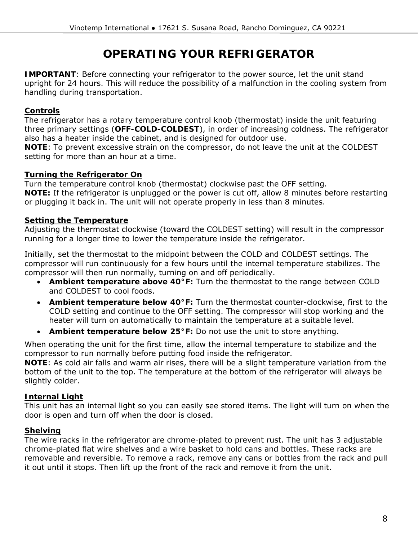### **OPERATING YOUR REFRIGERATOR**

<span id="page-7-0"></span>**IMPORTANT**: Before connecting your refrigerator to the power source, let the unit stand upright for 24 hours. This will reduce the possibility of a malfunction in the cooling system from handling during transportation.

#### **Controls**

The refrigerator has a rotary temperature control knob (thermostat) inside the unit featuring three primary settings (**OFF-COLD-COLDEST**), in order of increasing coldness. The refrigerator also has a heater inside the cabinet, and is designed for outdoor use.

**NOTE**: To prevent excessive strain on the compressor, do not leave the unit at the COLDEST setting for more than an hour at a time.

#### **Turning the Refrigerator On**

Turn the temperature control knob (thermostat) clockwise past the OFF setting. **NOTE:** If the refrigerator is unplugged or the power is cut off, allow 8 minutes before restarting or plugging it back in. The unit will not operate properly in less than 8 minutes.

#### **Setting the Temperature**

Adjusting the thermostat clockwise (toward the COLDEST setting) will result in the compressor running for a longer time to lower the temperature inside the refrigerator.

Initially, set the thermostat to the midpoint between the COLD and COLDEST settings. The compressor will run continuously for a few hours until the internal temperature stabilizes. The compressor will then run normally, turning on and off periodically.

- **Ambient temperature above 40°F:** Turn the thermostat to the range between COLD and COLDEST to cool foods.
- **Ambient temperature below 40°F:** Turn the thermostat counter-clockwise, first to the COLD setting and continue to the OFF setting. The compressor will stop working and the heater will turn on automatically to maintain the temperature at a suitable level.
- **Ambient temperature below 25°F:** Do not use the unit to store anything.

When operating the unit for the first time, allow the internal temperature to stabilize and the compressor to run normally before putting food inside the refrigerator.

**NOTE**: As cold air falls and warm air rises, there will be a slight temperature variation from the bottom of the unit to the top. The temperature at the bottom of the refrigerator will always be slightly colder.

#### **Internal Light**

This unit has an internal light so you can easily see stored items. The light will turn on when the door is open and turn off when the door is closed.

#### **Shelving**

The wire racks in the refrigerator are chrome-plated to prevent rust. The unit has 3 adjustable chrome-plated flat wire shelves and a wire basket to hold cans and bottles. These racks are removable and reversible. To remove a rack, remove any cans or bottles from the rack and pull it out until it stops. Then lift up the front of the rack and remove it from the unit.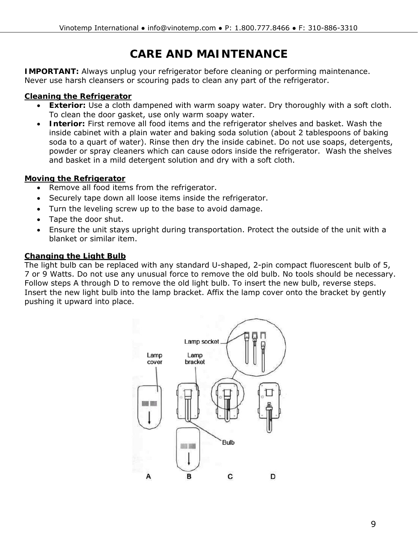## **CARE AND MAINTENANCE**

<span id="page-8-0"></span>**IMPORTANT:** Always unplug your refrigerator before cleaning or performing maintenance. Never use harsh cleansers or scouring pads to clean any part of the refrigerator.

#### **Cleaning the Refrigerator**

- **Exterior:** Use a cloth dampened with warm soapy water. Dry thoroughly with a soft cloth. To clean the door gasket, use only warm soapy water.
- **Interior:** First remove all food items and the refrigerator shelves and basket. Wash the inside cabinet with a plain water and baking soda solution (about 2 tablespoons of baking soda to a quart of water). Rinse then dry the inside cabinet. Do not use soaps, detergents, powder or spray cleaners which can cause odors inside the refrigerator. Wash the shelves and basket in a mild detergent solution and dry with a soft cloth.

#### **Moving the Refrigerator**

- Remove all food items from the refrigerator.
- Securely tape down all loose items inside the refrigerator.
- Turn the leveling screw up to the base to avoid damage.
- Tape the door shut.
- Ensure the unit stays upright during transportation. Protect the outside of the unit with a blanket or similar item.

#### **Changing the Light Bulb**

The light bulb can be replaced with any standard U-shaped, 2-pin compact fluorescent bulb of 5, 7 or 9 Watts. Do not use any unusual force to remove the old bulb. No tools should be necessary. Follow steps A through D to remove the old light bulb. To insert the new bulb, reverse steps. Insert the new light bulb into the lamp bracket. Affix the lamp cover onto the bracket by gently pushing it upward into place.

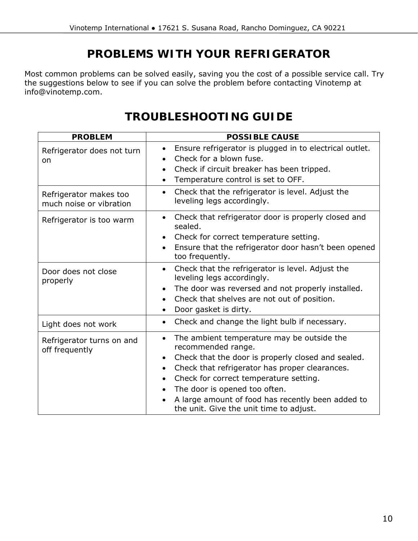### **PROBLEMS WITH YOUR REFRIGERATOR**

<span id="page-9-0"></span>Most common problems can be solved easily, saving you the cost of a possible service call. Try the suggestions below to see if you can solve the problem before contacting Vinotemp at info@vinotemp.com.

### **TROUBLESHOOTING GUIDE**

| <b>PROBLEM</b>                                    | <b>POSSIBLE CAUSE</b>                                                                                                                                                                                                                                                                                                                                                                                                |
|---------------------------------------------------|----------------------------------------------------------------------------------------------------------------------------------------------------------------------------------------------------------------------------------------------------------------------------------------------------------------------------------------------------------------------------------------------------------------------|
| Refrigerator does not turn<br><b>on</b>           | Ensure refrigerator is plugged in to electrical outlet.<br>$\bullet$<br>Check for a blown fuse.<br>$\bullet$<br>Check if circuit breaker has been tripped.<br>$\bullet$<br>Temperature control is set to OFF.                                                                                                                                                                                                        |
| Refrigerator makes too<br>much noise or vibration | Check that the refrigerator is level. Adjust the<br>$\bullet$<br>leveling legs accordingly.                                                                                                                                                                                                                                                                                                                          |
| Refrigerator is too warm                          | Check that refrigerator door is properly closed and<br>$\bullet$<br>sealed.<br>Check for correct temperature setting.<br>$\bullet$<br>Ensure that the refrigerator door hasn't been opened<br>too frequently.                                                                                                                                                                                                        |
| Door does not close<br>properly                   | Check that the refrigerator is level. Adjust the<br>$\bullet$<br>leveling legs accordingly.<br>The door was reversed and not properly installed.<br>$\bullet$<br>Check that shelves are not out of position.<br>$\bullet$<br>Door gasket is dirty.<br>$\bullet$                                                                                                                                                      |
| Light does not work                               | Check and change the light bulb if necessary.<br>$\bullet$                                                                                                                                                                                                                                                                                                                                                           |
| Refrigerator turns on and<br>off frequently       | The ambient temperature may be outside the<br>$\bullet$<br>recommended range.<br>Check that the door is properly closed and sealed.<br>$\bullet$<br>Check that refrigerator has proper clearances.<br>$\bullet$<br>Check for correct temperature setting.<br>$\bullet$<br>The door is opened too often.<br>$\bullet$<br>A large amount of food has recently been added to<br>the unit. Give the unit time to adjust. |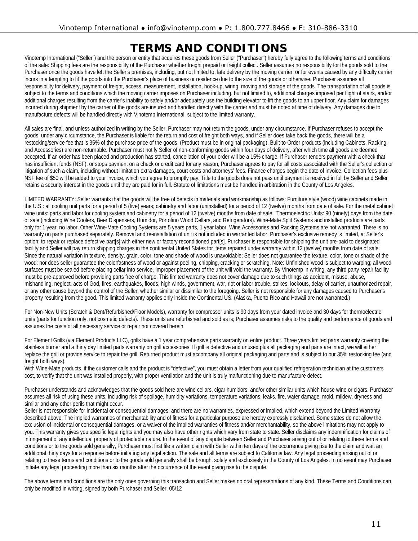### **TERMS AND CONDITIONS**

<span id="page-10-0"></span>Vinotemp International ("Seller") and the person or entity that acquires these goods from Seller ("Purchaser") hereby fully agree to the following terms and conditions of the sale: Shipping fees are the responsibility of the Purchaser whether freight prepaid or freight collect. Seller assumes no responsibility for the goods sold to the Purchaser once the goods have left the Seller's premises, including, but not limited to, late delivery by the moving carrier, or for events caused by any difficulty carrier incurs in attempting to fit the goods into the Purchaser's place of business or residence due to the size of the goods or otherwise. Purchaser assumes all responsibility for delivery, payment of freight, access, measurement, installation, hook-up, wiring, moving and storage of the goods. The transportation of all goods is subject to the terms and conditions which the moving carrier imposes on Purchaser including, but not limited to, additional charges imposed per flight of stairs, and/or additional charges resulting from the carrier's inability to safely and/or adequately use the building elevator to lift the goods to an upper floor. Any claim for damages incurred during shipment by the carrier of the goods are insured and handled directly with the carrier and must be noted at time of delivery. Any damages due to manufacture defects will be handled directly with Vinotemp International, subject to the limited warranty.

All sales are final, and unless authorized in writing by the Seller, Purchaser may not return the goods, under any circumstance. If Purchaser refuses to accept the goods, under any circumstance, the Purchaser is liable for the return and cost of freight both ways, and if Seller does take back the goods, there will be a restocking/service fee that is 35% of the purchase price of the goods. (Product must be in original packaging). Built-to-Order products (including Cabinets, Racking, and Accessories) are non-returnable. Purchaser must notify Seller of non-conforming goods within four days of delivery, after which time all goods are deemed accepted. If an order has been placed and production has started, cancellation of your order will be a 15% charge. If Purchaser tenders payment with a check that has insufficient funds (NSF), or stops payment on a check or credit card for any reason, Purchaser agrees to pay for all costs associated with the Seller's collection or litigation of such a claim, including without limitation extra damages, court costs and attorneys' fees. Finance charges begin the date of invoice. Collection fees plus NSF fee of \$50 will be added to your invoice, which you agree to promptly pay. Title to the goods does not pass until payment is received in full by Seller and Seller retains a security interest in the goods until they are paid for in full. Statute of limitations must be handled in arbitration in the County of Los Angeles.

LIMITED WARRANTY: Seller warrants that the goods will be free of defects in materials and workmanship as follows: Furniture style (wood) wine cabinets made in the U.S.: all cooling unit parts for a period of 5 (five) years; cabinetry and labor (uninstalled) for a period of 12 (twelve) months from date of sale. For the metal cabinet wine units: parts and labor for cooling system and cabinetry for a period of 12 (twelve) months from date of sale. Thermoelectric Units: 90 (ninety) days from the date of sale (including Wine Coolers, Beer Dispensers, Humidor, Portofino Wood Cellars, and Refrigerators). Wine-Mate Split Systems and installed products are parts only for 1 year, no labor. Other Wine-Mate Cooling Systems are 5 years parts, 1 year labor. Wine Accessories and Racking Systems are not warranted. There is no warranty on parts purchased separately. Removal and re-installation of unit is not included in warranted labor. Purchaser's exclusive remedy is limited, at Seller's option; to repair or replace defective part[s] with either new or factory reconditioned part[s]. Purchaser is responsible for shipping the unit pre-paid to designated facility and Seller will pay return shipping charges in the continental United States for items repaired under warranty within 12 (twelve) months from date of sale. Since the natural variation in texture, density, grain, color, tone and shade of wood is unavoidable; Seller does not guarantee the texture, color, tone or shade of the wood: nor does seller guarantee the colorfastness of wood or against peeling, chipping, cracking or scratching. Note: Unfinished wood is subject to warping; all wood surfaces must be sealed before placing cellar into service. Improper placement of the unit will void the warranty. By Vinotemp in writing, any third party repair facility must be pre-approved before providing parts free of charge. This limited warranty does not cover damage due to such things as accident, misuse, abuse, mishandling, neglect, acts of God, fires, earthquakes, floods, high winds, government, war, riot or labor trouble, strikes, lockouts, delay of carrier, unauthorized repair, or any other cause beyond the control of the Seller, whether similar or dissimilar to the foregoing. Seller is not responsible for any damages caused to Purchaser's property resulting from the good. This limited warranty applies only inside the Continental US. (Alaska, Puerto Rico and Hawaii are not warranted.)

For Non-New Units (Scratch & Dent/Refurbished/Floor Models), warranty for compressor units is 90 days from your dated invoice and 30 days for thermoelectric units (parts for function only, not cosmetic defects). These units are refurbished and sold as is; Purchaser assumes risks to the quality and performance of goods and assumes the costs of all necessary service or repair not covered herein.

For Element Grills (via Element Products LLC), grills have a 1 year comprehensive parts warranty on entire product. Three years limited parts warranty covering the stainless burner and a thirty day limited parts warranty on grill accessories. If grill is defective and unused plus all packaging and parts are intact, we will either replace the grill or provide service to repair the grill. Returned product must accompany all original packaging and parts and is subject to our 35% restocking fee (and freight both ways).

With Wine-Mate products, if the customer calls and the product is "defective", you must obtain a letter from your qualified refrigeration technician at the customers cost, to verify that the unit was installed properly, with proper ventilation and the unit is truly malfunctioning due to manufacture defect.

Purchaser understands and acknowledges that the goods sold here are wine cellars, cigar humidors, and/or other similar units which house wine or cigars. Purchaser assumes all risk of using these units, including risk of spoilage, humidity variations, temperature variations, leaks, fire, water damage, mold, mildew, dryness and similar and any other perils that might occur.

Seller is not responsible for incidental or consequential damages, and there are no warranties, expressed or implied, which extend beyond the Limited Warranty described above. The implied warranties of merchantability and of fitness for a particular purpose are hereby expressly disclaimed. Some states do not allow the exclusion of incidental or consequential damages, or a waiver of the implied warranties of fitness and/or merchantability, so the above limitations may not apply to you. This warranty gives you specific legal rights and you may also have other rights which vary from state to state. Seller disclaims any indemnification for claims of infringement of any intellectual property of protectable nature. In the event of any dispute between Seller and Purchaser arising out of or relating to these terms and conditions or to the goods sold generally, Purchaser must first file a written claim with Seller within ten days of the occurrence giving rise to the claim and wait an additional thirty days for a response before initiating any legal action. The sale and all terms are subject to California law. Any legal proceeding arising out of or relating to these terms and conditions or to the goods sold generally shall be brought solely and exclusively in the County of Los Angeles. In no event may Purchaser initiate any legal proceeding more than six months after the occurrence of the event giving rise to the dispute.

The above terms and conditions are the only ones governing this transaction and Seller makes no oral representations of any kind. These Terms and Conditions can only be modified in writing, signed by both Purchaser and Seller. 05/12